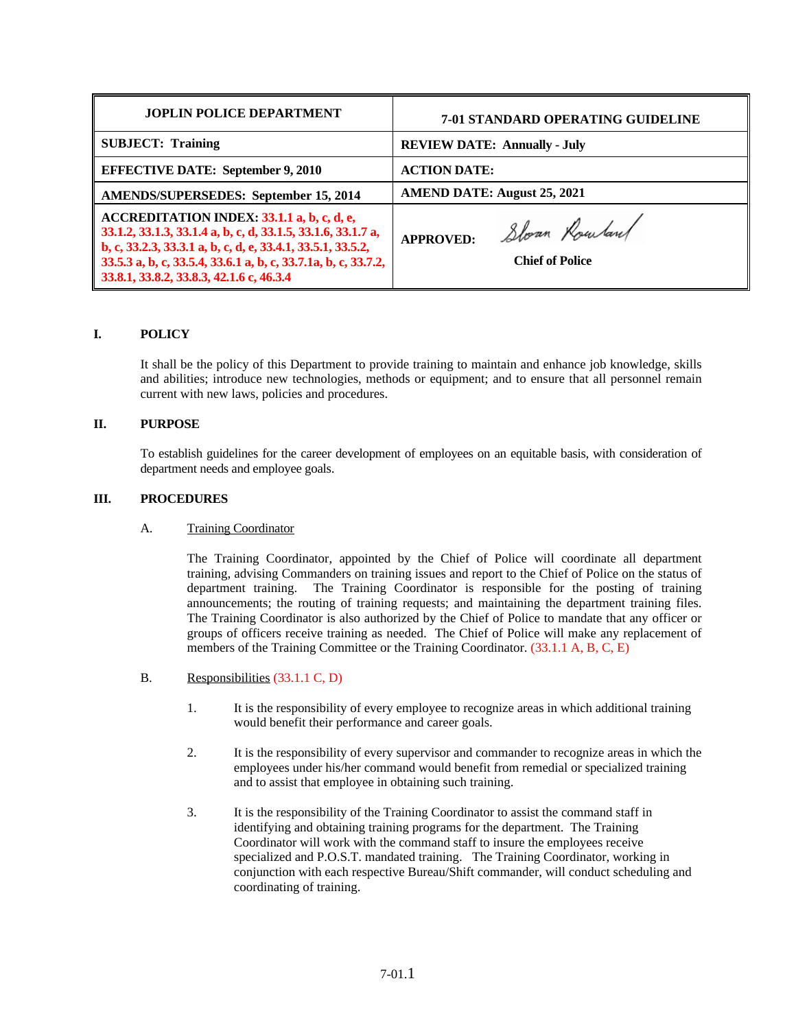| <b>JOPLIN POLICE DEPARTMENT</b>                                                                                                                                                                                                                                                         | 7-01 STANDARD OPERATING GUIDELINE                           |
|-----------------------------------------------------------------------------------------------------------------------------------------------------------------------------------------------------------------------------------------------------------------------------------------|-------------------------------------------------------------|
| <b>SUBJECT: Training</b>                                                                                                                                                                                                                                                                | <b>REVIEW DATE: Annually - July</b>                         |
| <b>EFFECTIVE DATE: September 9, 2010</b>                                                                                                                                                                                                                                                | <b>ACTION DATE:</b>                                         |
| <b>AMENDS/SUPERSEDES: September 15, 2014</b>                                                                                                                                                                                                                                            | <b>AMEND DATE: August 25, 2021</b>                          |
| ACCREDITATION INDEX: 33.1.1 a, b, c, d, e,<br>33.1.2, 33.1.3, 33.1.4 a, b, c, d, 33.1.5, 33.1.6, 33.1.7 a,<br>b, c, 33.2.3, 33.3.1 a, b, c, d, e, 33.4.1, 33.5.1, 33.5.2,<br>33.5.3 a, b, c, 33.5.4, 33.6.1 a, b, c, 33.7.1a, b, c, 33.7.2,<br>33.8.1, 33.8.2, 33.8.3, 42.1.6 c, 46.3.4 | Sloan Rowland<br><b>APPROVED:</b><br><b>Chief of Police</b> |

# **I. POLICY**

It shall be the policy of this Department to provide training to maintain and enhance job knowledge, skills and abilities; introduce new technologies, methods or equipment; and to ensure that all personnel remain current with new laws, policies and procedures.

# **II. PURPOSE**

To establish guidelines for the career development of employees on an equitable basis, with consideration of department needs and employee goals.

#### **III. PROCEDURES**

#### A. Training Coordinator

The Training Coordinator, appointed by the Chief of Police will coordinate all department training, advising Commanders on training issues and report to the Chief of Police on the status of department training. The Training Coordinator is responsible for the posting of training announcements; the routing of training requests; and maintaining the department training files. The Training Coordinator is also authorized by the Chief of Police to mandate that any officer or groups of officers receive training as needed. The Chief of Police will make any replacement of members of the Training Committee or the Training Coordinator. (33.1.1 A, B, C, E)

- B. Responsibilities (33.1.1 C, D)
	- 1. It is the responsibility of every employee to recognize areas in which additional training would benefit their performance and career goals.
	- 2. It is the responsibility of every supervisor and commander to recognize areas in which the employees under his/her command would benefit from remedial or specialized training and to assist that employee in obtaining such training.
	- 3. It is the responsibility of the Training Coordinator to assist the command staff in identifying and obtaining training programs for the department. The Training Coordinator will work with the command staff to insure the employees receive specialized and P.O.S.T. mandated training. The Training Coordinator, working in conjunction with each respective Bureau/Shift commander, will conduct scheduling and coordinating of training.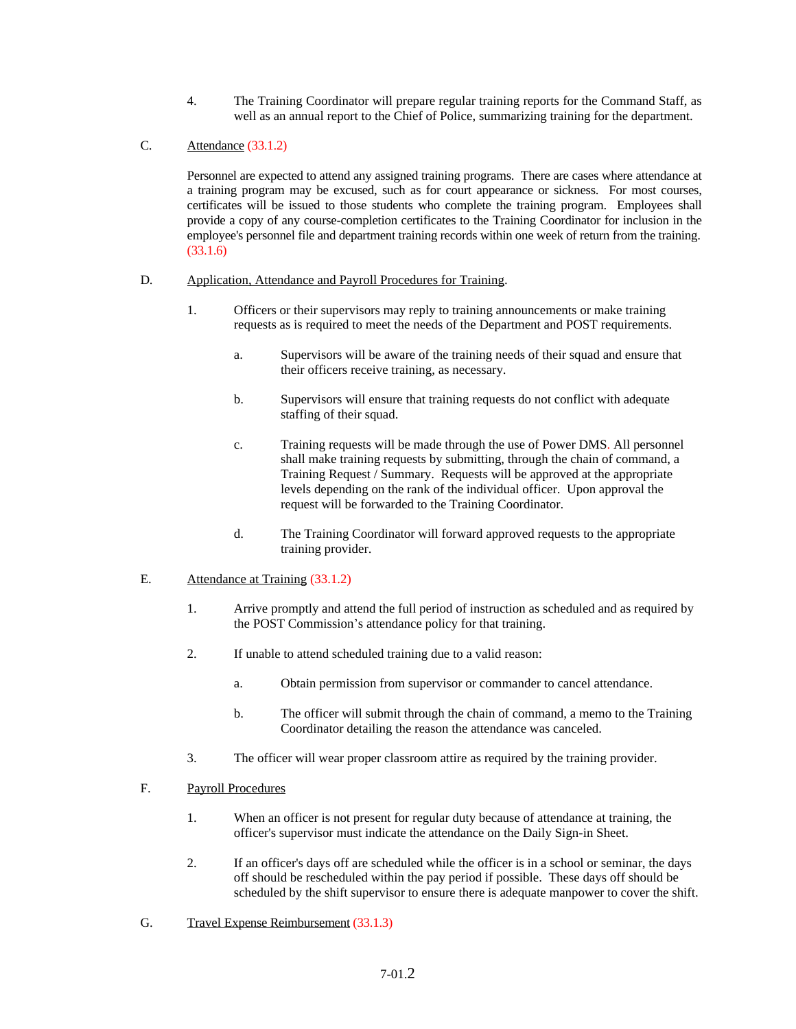- 4. The Training Coordinator will prepare regular training reports for the Command Staff, as well as an annual report to the Chief of Police, summarizing training for the department.
- C. Attendance (33.1.2)

Personnel are expected to attend any assigned training programs. There are cases where attendance at a training program may be excused, such as for court appearance or sickness. For most courses, certificates will be issued to those students who complete the training program. Employees shall provide a copy of any course-completion certificates to the Training Coordinator for inclusion in the employee's personnel file and department training records within one week of return from the training. (33.1.6)

- D. Application, Attendance and Payroll Procedures for Training.
	- 1. Officers or their supervisors may reply to training announcements or make training requests as is required to meet the needs of the Department and POST requirements.
		- a. Supervisors will be aware of the training needs of their squad and ensure that their officers receive training, as necessary.
		- b. Supervisors will ensure that training requests do not conflict with adequate staffing of their squad.
		- c. Training requests will be made through the use of Power DMS. All personnel shall make training requests by submitting, through the chain of command, a Training Request / Summary. Requests will be approved at the appropriate levels depending on the rank of the individual officer. Upon approval the request will be forwarded to the Training Coordinator.
		- d. The Training Coordinator will forward approved requests to the appropriate training provider.
- E. Attendance at Training (33.1.2)
	- 1. Arrive promptly and attend the full period of instruction as scheduled and as required by the POST Commission's attendance policy for that training.
	- 2. If unable to attend scheduled training due to a valid reason:
		- a. Obtain permission from supervisor or commander to cancel attendance.
		- b. The officer will submit through the chain of command, a memo to the Training Coordinator detailing the reason the attendance was canceled.
	- 3. The officer will wear proper classroom attire as required by the training provider.
- F. Payroll Procedures
	- 1. When an officer is not present for regular duty because of attendance at training, the officer's supervisor must indicate the attendance on the Daily Sign-in Sheet.
	- 2. If an officer's days off are scheduled while the officer is in a school or seminar, the days off should be rescheduled within the pay period if possible. These days off should be scheduled by the shift supervisor to ensure there is adequate manpower to cover the shift.
- G. Travel Expense Reimbursement (33.1.3)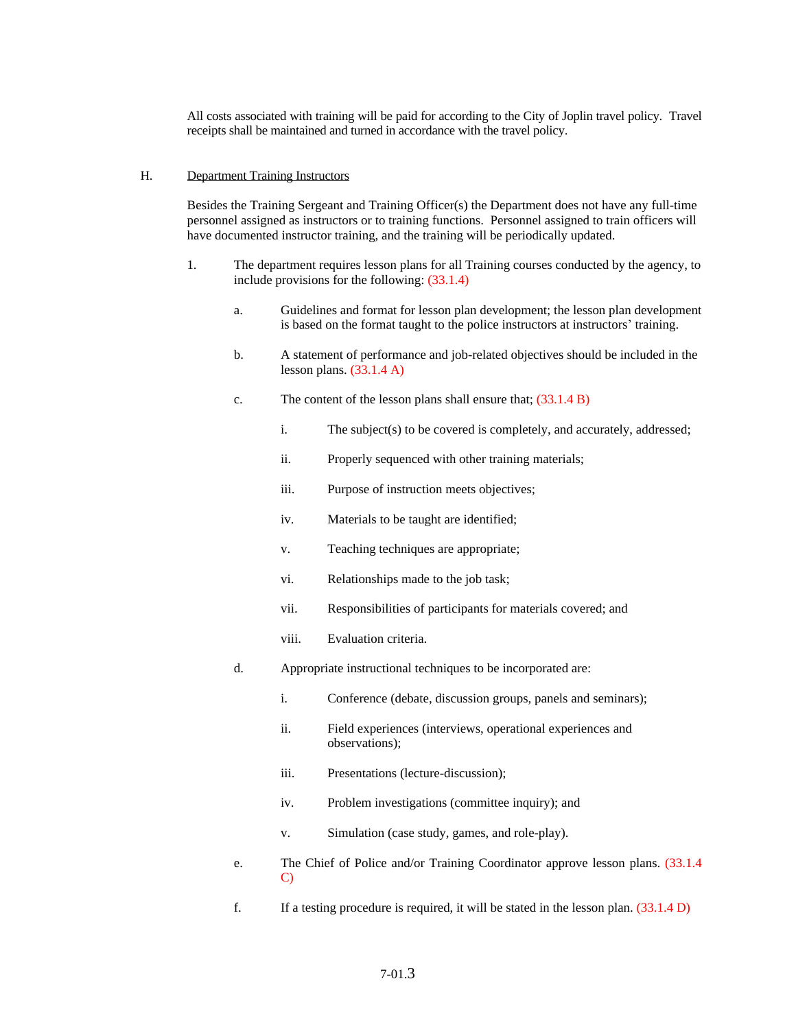All costs associated with training will be paid for according to the City of Joplin travel policy. Travel receipts shall be maintained and turned in accordance with the travel policy.

#### H. Department Training Instructors

Besides the Training Sergeant and Training Officer(s) the Department does not have any full-time personnel assigned as instructors or to training functions. Personnel assigned to train officers will have documented instructor training, and the training will be periodically updated.

- 1. The department requires lesson plans for all Training courses conducted by the agency, to include provisions for the following: (33.1.4)
	- a. Guidelines and format for lesson plan development; the lesson plan development is based on the format taught to the police instructors at instructors' training.
	- b. A statement of performance and job-related objectives should be included in the lesson plans.  $(33.1.4 \text{ A})$
	- c. The content of the lesson plans shall ensure that; (33.1.4 B)
		- i. The subject(s) to be covered is completely, and accurately, addressed;
		- ii. Properly sequenced with other training materials;
		- iii. Purpose of instruction meets objectives;
		- iv. Materials to be taught are identified;
		- v. Teaching techniques are appropriate;
		- vi. Relationships made to the job task;
		- vii. Responsibilities of participants for materials covered; and
		- viii. Evaluation criteria.
	- d. Appropriate instructional techniques to be incorporated are:
		- i. Conference (debate, discussion groups, panels and seminars);
		- ii. Field experiences (interviews, operational experiences and observations);
		- iii. Presentations (lecture-discussion);
		- iv. Problem investigations (committee inquiry); and
		- v. Simulation (case study, games, and role-play).
	- e. The Chief of Police and/or Training Coordinator approve lesson plans. (33.1.4 C)
	- f. If a testing procedure is required, it will be stated in the lesson plan. (33.1.4 D)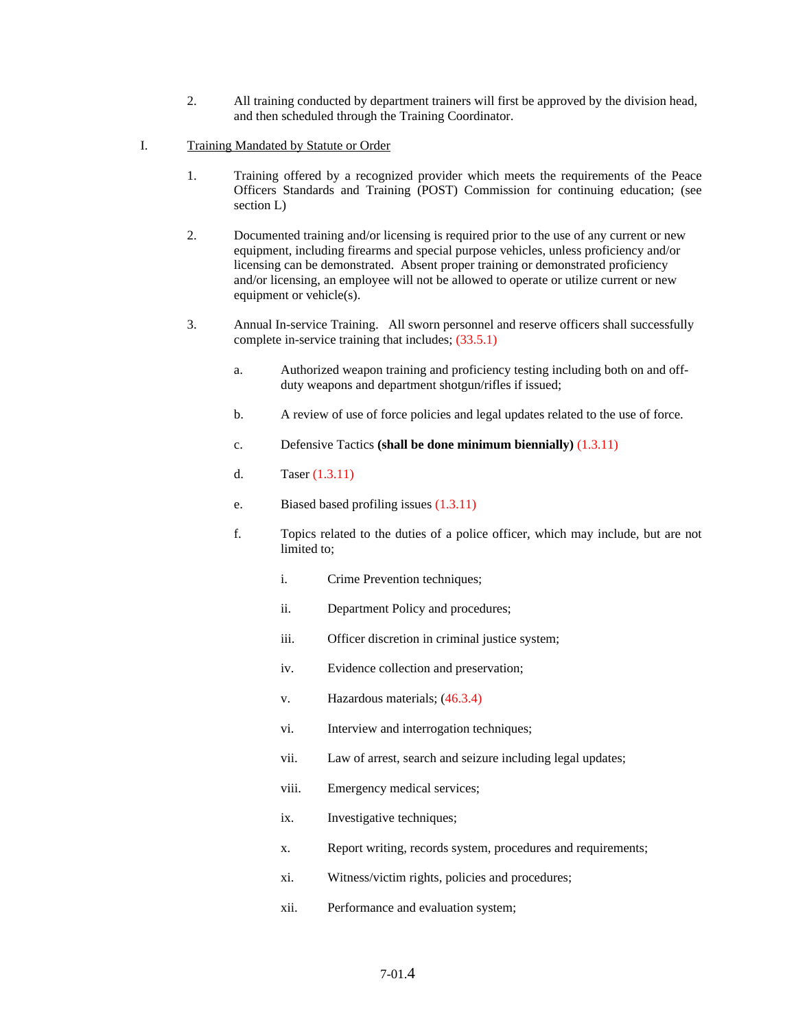- 2. All training conducted by department trainers will first be approved by the division head, and then scheduled through the Training Coordinator.
- I. Training Mandated by Statute or Order
	- 1. Training offered by a recognized provider which meets the requirements of the Peace Officers Standards and Training (POST) Commission for continuing education; (see section L)
	- 2. Documented training and/or licensing is required prior to the use of any current or new equipment, including firearms and special purpose vehicles, unless proficiency and/or licensing can be demonstrated. Absent proper training or demonstrated proficiency and/or licensing, an employee will not be allowed to operate or utilize current or new equipment or vehicle(s).
	- 3. Annual In-service Training. All sworn personnel and reserve officers shall successfully complete in-service training that includes; (33.5.1)
		- a. Authorized weapon training and proficiency testing including both on and offduty weapons and department shotgun/rifles if issued;
		- b. A review of use of force policies and legal updates related to the use of force.
		- c. Defensive Tactics **(shall be done minimum biennially)** (1.3.11)
		- d. Taser (1.3.11)
		- e. Biased based profiling issues (1.3.11)
		- f. Topics related to the duties of a police officer, which may include, but are not limited to;
			- i. Crime Prevention techniques;
			- ii. Department Policy and procedures;
			- iii. Officer discretion in criminal justice system;
			- iv. Evidence collection and preservation;
			- v. Hazardous materials; (46.3.4)
			- vi. Interview and interrogation techniques;
			- vii. Law of arrest, search and seizure including legal updates;
			- viii. Emergency medical services;
			- ix. Investigative techniques;
			- x. Report writing, records system, procedures and requirements;
			- xi. Witness/victim rights, policies and procedures;
			- xii. Performance and evaluation system;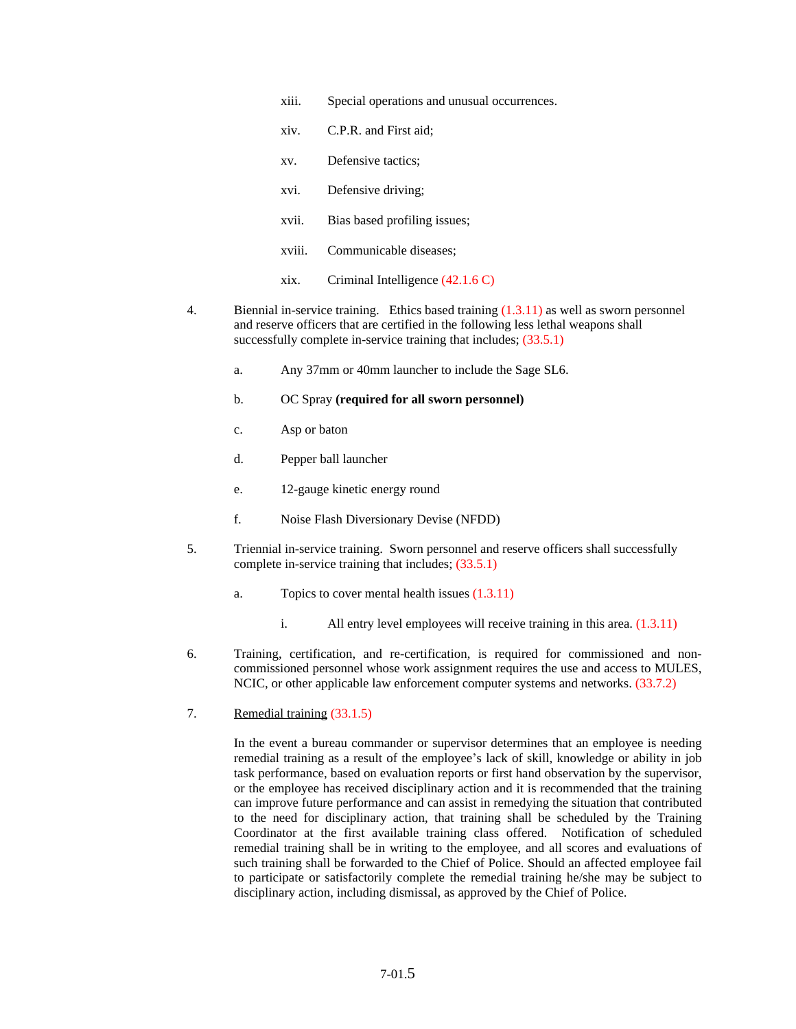- xiii. Special operations and unusual occurrences.
- xiv. C.P.R. and First aid;
- xv. Defensive tactics;
- xvi. Defensive driving;
- xvii. Bias based profiling issues;
- xviii. Communicable diseases;
- xix. Criminal Intelligence (42.1.6 C)
- 4. Biennial in-service training. Ethics based training (1.3.11) as well as sworn personnel and reserve officers that are certified in the following less lethal weapons shall successfully complete in-service training that includes;  $(33.5.1)$ 
	- a. Any 37mm or 40mm launcher to include the Sage SL6.
	- b. OC Spray **(required for all sworn personnel)**
	- c. Asp or baton
	- d. Pepper ball launcher
	- e. 12-gauge kinetic energy round
	- f. Noise Flash Diversionary Devise (NFDD)
- 5. Triennial in-service training. Sworn personnel and reserve officers shall successfully complete in-service training that includes; (33.5.1)
	- a. Topics to cover mental health issues (1.3.11)
		- i. All entry level employees will receive training in this area.  $(1.3.11)$
- 6. Training, certification, and re-certification, is required for commissioned and noncommissioned personnel whose work assignment requires the use and access to MULES, NCIC, or other applicable law enforcement computer systems and networks. (33.7.2)
- 7. Remedial training (33.1.5)

In the event a bureau commander or supervisor determines that an employee is needing remedial training as a result of the employee's lack of skill, knowledge or ability in job task performance, based on evaluation reports or first hand observation by the supervisor, or the employee has received disciplinary action and it is recommended that the training can improve future performance and can assist in remedying the situation that contributed to the need for disciplinary action, that training shall be scheduled by the Training Coordinator at the first available training class offered. Notification of scheduled remedial training shall be in writing to the employee, and all scores and evaluations of such training shall be forwarded to the Chief of Police. Should an affected employee fail to participate or satisfactorily complete the remedial training he/she may be subject to disciplinary action, including dismissal, as approved by the Chief of Police.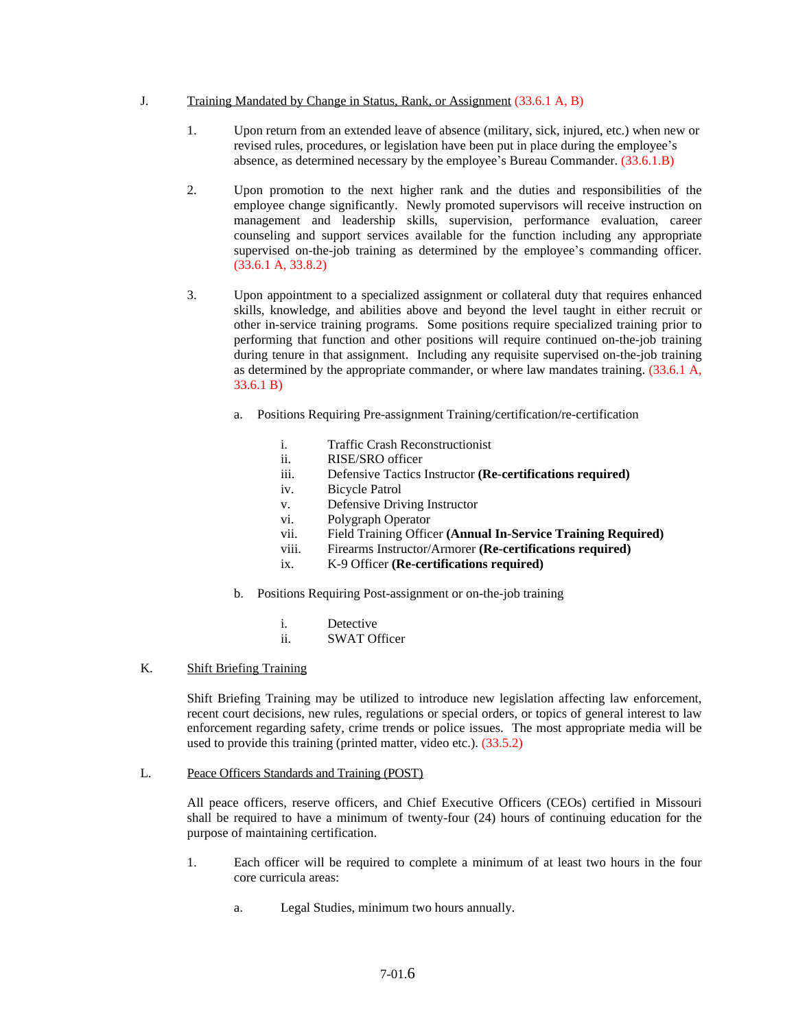#### J. Training Mandated by Change in Status, Rank, or Assignment (33.6.1 A, B)

- 1. Upon return from an extended leave of absence (military, sick, injured, etc.) when new or revised rules, procedures, or legislation have been put in place during the employee's absence, as determined necessary by the employee's Bureau Commander. (33.6.1.B)
- 2. Upon promotion to the next higher rank and the duties and responsibilities of the employee change significantly. Newly promoted supervisors will receive instruction on management and leadership skills, supervision, performance evaluation, career counseling and support services available for the function including any appropriate supervised on-the-job training as determined by the employee's commanding officer. (33.6.1 A, 33.8.2)
- 3. Upon appointment to a specialized assignment or collateral duty that requires enhanced skills, knowledge, and abilities above and beyond the level taught in either recruit or other in-service training programs. Some positions require specialized training prior to performing that function and other positions will require continued on-the-job training during tenure in that assignment. Including any requisite supervised on-the-job training as determined by the appropriate commander, or where law mandates training. (33.6.1 A, 33.6.1 B)
	- a. Positions Requiring Pre-assignment Training/certification/re-certification
		- i. Traffic Crash Reconstructionist
		- ii. RISE/SRO officer
		- iii. Defensive Tactics Instructor **(Re-certifications required)**
		- iv. Bicycle Patrol
		- v. Defensive Driving Instructor
		- vi. Polygraph Operator
		- vii. Field Training Officer **(Annual In-Service Training Required)**
		- viii. Firearms Instructor/Armorer **(Re-certifications required)**
		- ix. K-9 Officer **(Re-certifications required)**
	- b. Positions Requiring Post-assignment or on-the-job training
		- i. Detective
		- ii. SWAT Officer

# K. Shift Briefing Training

Shift Briefing Training may be utilized to introduce new legislation affecting law enforcement, recent court decisions, new rules, regulations or special orders, or topics of general interest to law enforcement regarding safety, crime trends or police issues. The most appropriate media will be used to provide this training (printed matter, video etc.). (33.5.2)

L. Peace Officers Standards and Training (POST)

All peace officers, reserve officers, and Chief Executive Officers (CEOs) certified in Missouri shall be required to have a minimum of twenty-four (24) hours of continuing education for the purpose of maintaining certification.

- 1. Each officer will be required to complete a minimum of at least two hours in the four core curricula areas:
	- a. Legal Studies, minimum two hours annually.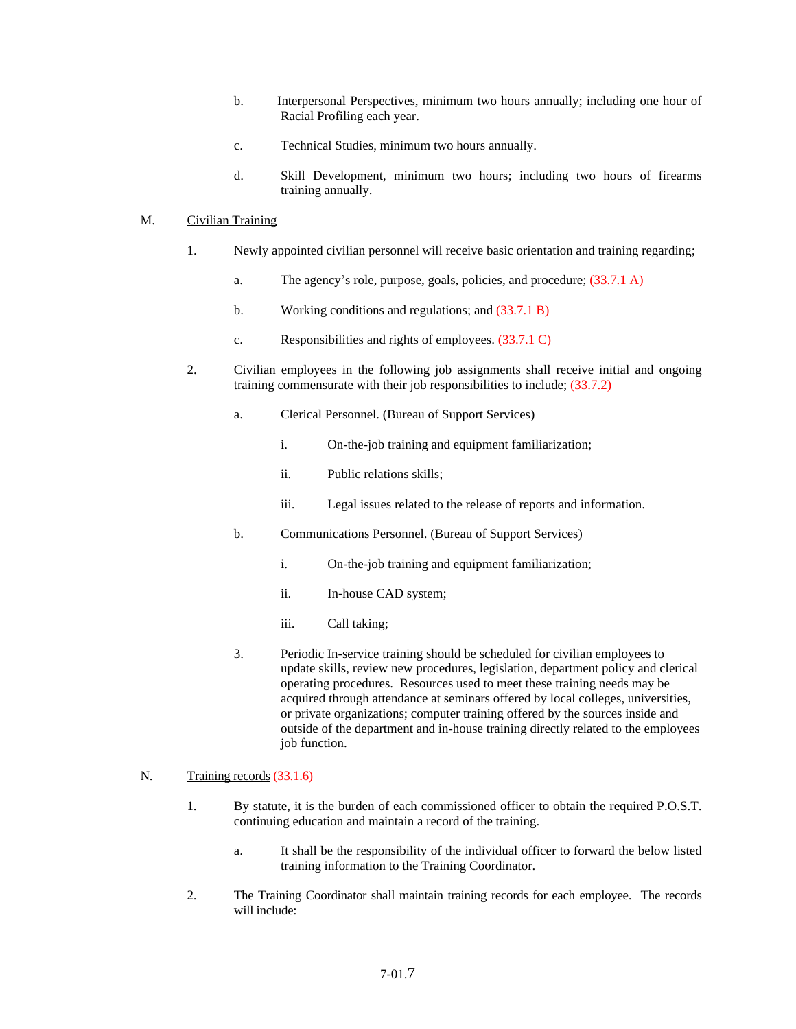- b. Interpersonal Perspectives, minimum two hours annually; including one hour of Racial Profiling each year.
- c. Technical Studies, minimum two hours annually.
- d. Skill Development, minimum two hours; including two hours of firearms training annually.

#### M. Civilian Training

- 1. Newly appointed civilian personnel will receive basic orientation and training regarding;
	- a. The agency's role, purpose, goals, policies, and procedure; (33.7.1 A)
	- b. Working conditions and regulations; and  $(33.7.1 B)$
	- c. Responsibilities and rights of employees. (33.7.1 C)
- 2. Civilian employees in the following job assignments shall receive initial and ongoing training commensurate with their job responsibilities to include; (33.7.2)
	- a. Clerical Personnel. (Bureau of Support Services)
		- i. On-the-job training and equipment familiarization;
		- ii. Public relations skills;
		- iii. Legal issues related to the release of reports and information.
	- b. Communications Personnel. (Bureau of Support Services)
		- i. On-the-job training and equipment familiarization;
		- ii. In-house CAD system;
		- iii. Call taking;
	- 3. Periodic In-service training should be scheduled for civilian employees to update skills, review new procedures, legislation, department policy and clerical operating procedures. Resources used to meet these training needs may be acquired through attendance at seminars offered by local colleges, universities, or private organizations; computer training offered by the sources inside and outside of the department and in-house training directly related to the employees job function.

# N. Training records (33.1.6)

- 1. By statute, it is the burden of each commissioned officer to obtain the required P.O.S.T. continuing education and maintain a record of the training.
	- a. It shall be the responsibility of the individual officer to forward the below listed training information to the Training Coordinator.
- 2. The Training Coordinator shall maintain training records for each employee. The records will include: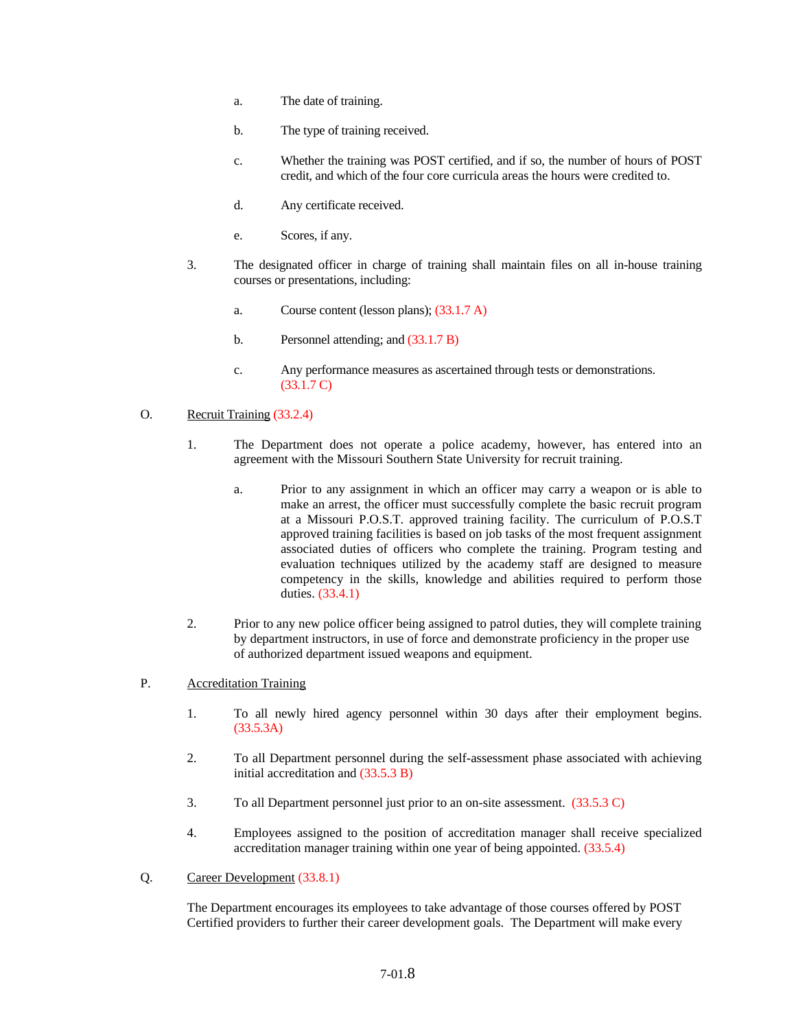- a. The date of training.
- b. The type of training received.
- c. Whether the training was POST certified, and if so, the number of hours of POST credit, and which of the four core curricula areas the hours were credited to.
- d. Any certificate received.
- e. Scores, if any.
- 3. The designated officer in charge of training shall maintain files on all in-house training courses or presentations, including:
	- a. Course content (lesson plans); (33.1.7 A)
	- b. Personnel attending; and  $(33.1.7 B)$
	- c. Any performance measures as ascertained through tests or demonstrations. (33.1.7 C)

# O. Recruit Training (33.2.4)

- 1. The Department does not operate a police academy, however, has entered into an agreement with the Missouri Southern State University for recruit training.
	- a. Prior to any assignment in which an officer may carry a weapon or is able to make an arrest, the officer must successfully complete the basic recruit program at a Missouri P.O.S.T. approved training facility. The curriculum of P.O.S.T approved training facilities is based on job tasks of the most frequent assignment associated duties of officers who complete the training. Program testing and evaluation techniques utilized by the academy staff are designed to measure competency in the skills, knowledge and abilities required to perform those duties. (33.4.1)
- 2. Prior to any new police officer being assigned to patrol duties, they will complete training by department instructors, in use of force and demonstrate proficiency in the proper use of authorized department issued weapons and equipment.

# P. Accreditation Training

- 1. To all newly hired agency personnel within 30 days after their employment begins. (33.5.3A)
- 2. To all Department personnel during the self-assessment phase associated with achieving initial accreditation and (33.5.3 B)
- 3. To all Department personnel just prior to an on-site assessment. (33.5.3 C)
- 4. Employees assigned to the position of accreditation manager shall receive specialized accreditation manager training within one year of being appointed. (33.5.4)
- Q. Career Development (33.8.1)

The Department encourages its employees to take advantage of those courses offered by POST Certified providers to further their career development goals. The Department will make every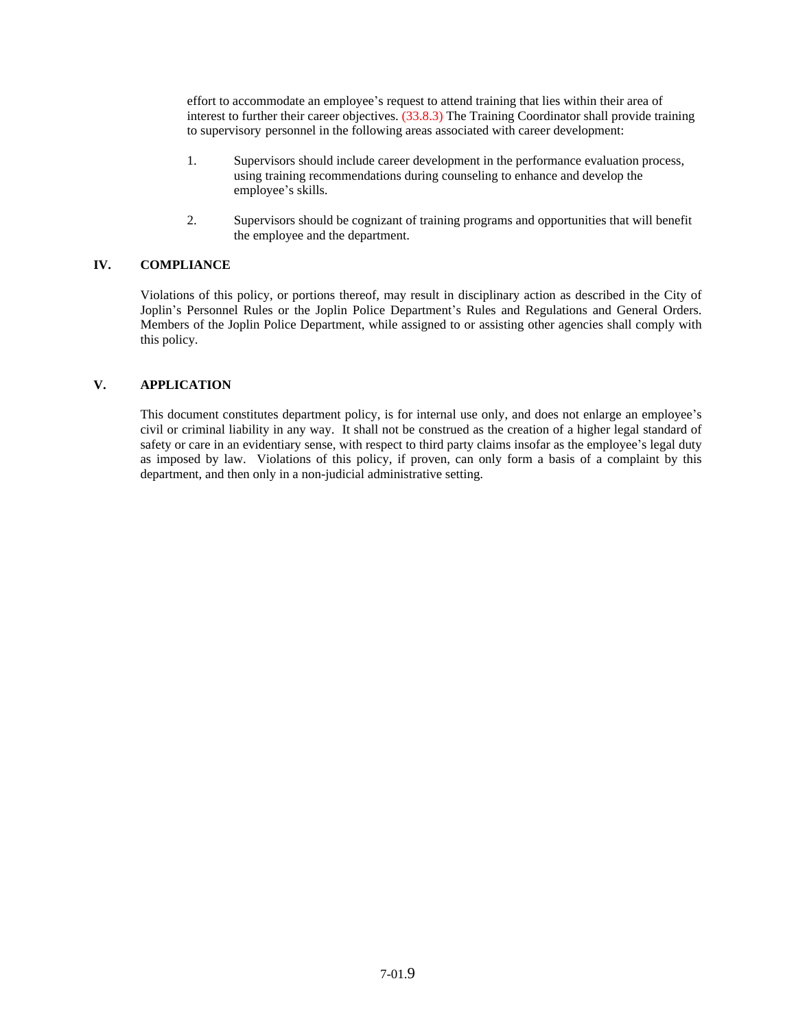effort to accommodate an employee's request to attend training that lies within their area of interest to further their career objectives. (33.8.3) The Training Coordinator shall provide training to supervisory personnel in the following areas associated with career development:

- 1. Supervisors should include career development in the performance evaluation process, using training recommendations during counseling to enhance and develop the employee's skills.
- 2. Supervisors should be cognizant of training programs and opportunities that will benefit the employee and the department.

# **IV. COMPLIANCE**

Violations of this policy, or portions thereof, may result in disciplinary action as described in the City of Joplin's Personnel Rules or the Joplin Police Department's Rules and Regulations and General Orders. Members of the Joplin Police Department, while assigned to or assisting other agencies shall comply with this policy.

# **V. APPLICATION**

This document constitutes department policy, is for internal use only, and does not enlarge an employee's civil or criminal liability in any way. It shall not be construed as the creation of a higher legal standard of safety or care in an evidentiary sense, with respect to third party claims insofar as the employee's legal duty as imposed by law. Violations of this policy, if proven, can only form a basis of a complaint by this department, and then only in a non-judicial administrative setting.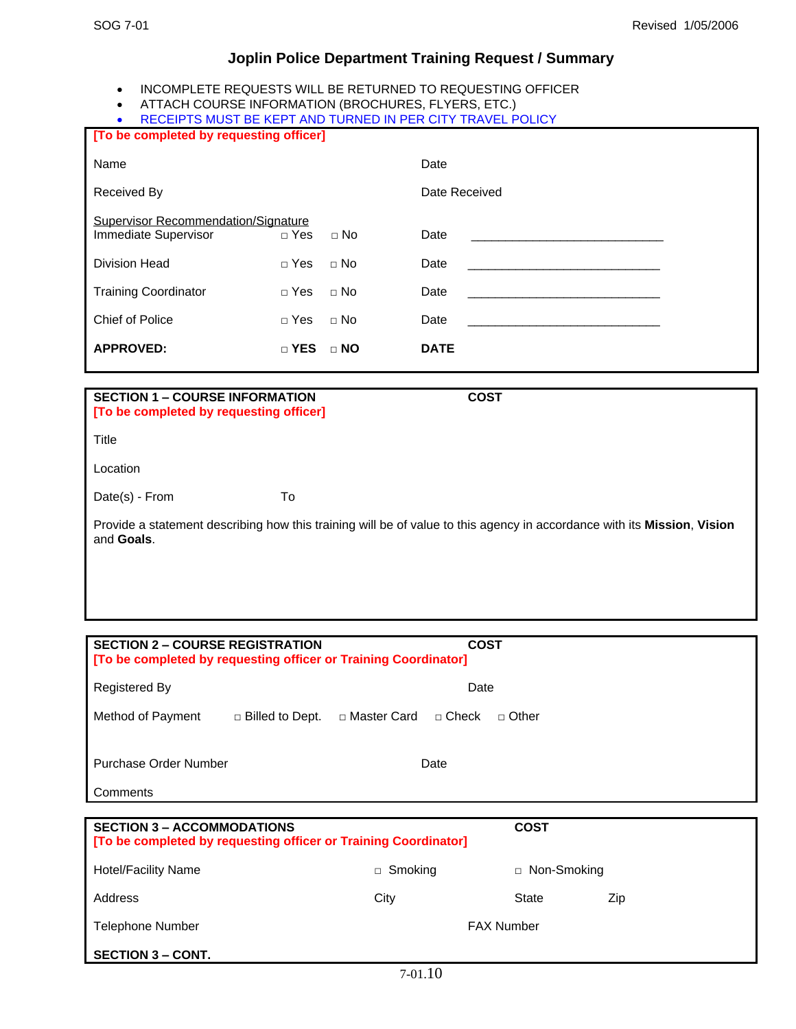# **Joplin Police Department Training Request / Summary**

- INCOMPLETE REQUESTS WILL BE RETURNED TO REQUESTING OFFICER
- ATTACH COURSE INFORMATION (BROCHURES, FLYERS, ETC.)
- RECEIPTS MUST BE KEPT AND TURNED IN PER CITY TRAVEL POLICY

| [To be completed by requesting officer]                            |              |           |               |
|--------------------------------------------------------------------|--------------|-----------|---------------|
| Name                                                               |              |           | Date          |
| Received By                                                        |              |           | Date Received |
| <b>Supervisor Recommendation/Signature</b><br>Immediate Supervisor | $\Box$ Yes   | $\Box$ No | Date          |
| <b>Division Head</b>                                               | $\Box$ Yes   | $\Box$ No | Date          |
| <b>Training Coordinator</b>                                        | $\Box$ Yes   | $\Box$ No | Date          |
| Chief of Police                                                    | $\Box$ Yes   | $\Box$ No | Date          |
| <b>APPROVED:</b>                                                   | $\sqcap$ YES | $\Box$ NO | <b>DATE</b>   |
|                                                                    |              |           |               |

| <b>SECTION 1 – COURSE INFORMATION</b>   | COST |
|-----------------------------------------|------|
| [To be completed by requesting officer] |      |

**Title** 

Location

Date(s) - From To

Provide a statement describing how this training will be of value to this agency in accordance with its **Mission**, **Vision** and **Goals**.

| <b>SECTION 2 – COURSE REGISTRATION</b><br><b>COST</b><br>[To be completed by requesting officer or Training Coordinator] |                                                                 |  |  |  |
|--------------------------------------------------------------------------------------------------------------------------|-----------------------------------------------------------------|--|--|--|
| Registered By                                                                                                            | Date                                                            |  |  |  |
| Method of Payment                                                                                                        | □ Master Card □ Check<br>$\Box$ Billed to Dept.<br>$\Box$ Other |  |  |  |
| Purchase Order Number                                                                                                    | Date                                                            |  |  |  |
| Comments                                                                                                                 |                                                                 |  |  |  |

| <b>SECTION 3 – ACCOMMODATIONS</b><br>[To be completed by requesting officer or Training Coordinator] | <b>COST</b>       |               |     |
|------------------------------------------------------------------------------------------------------|-------------------|---------------|-----|
| <b>Hotel/Facility Name</b>                                                                           | $\Box$ Smoking    | □ Non-Smoking |     |
| Address                                                                                              | City              | State         | Zip |
| Telephone Number                                                                                     | <b>FAX Number</b> |               |     |
| <b>SECTION 3 – CONT.</b>                                                                             |                   |               |     |